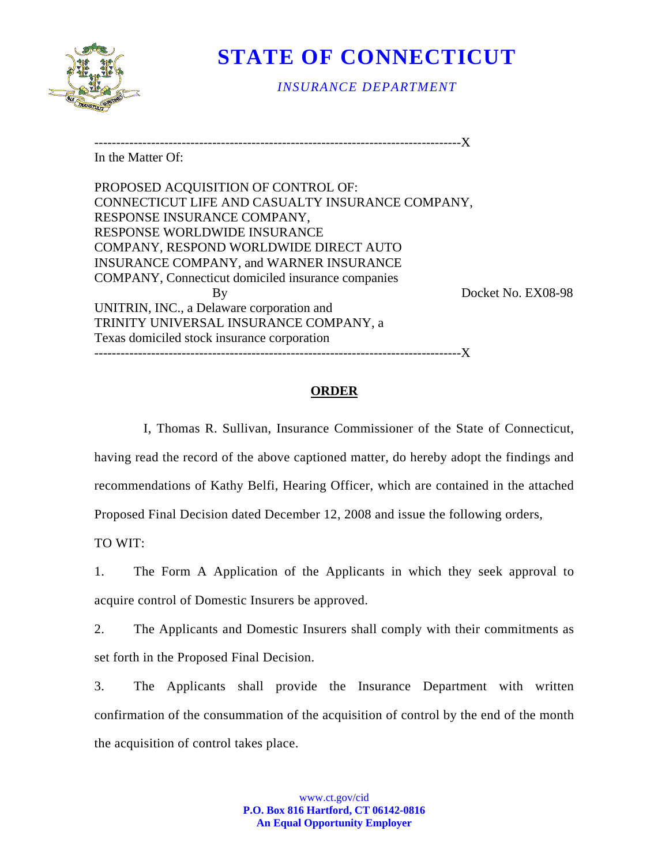

# **STATE OF CONNECTICUT**

*INSURANCE DEPARTMENT* 

------------------------------------------------------------------------------------X

In the Matter Of:

PROPOSED ACQUISITION OF CONTROL OF: CONNECTICUT LIFE AND CASUALTY INSURANCE COMPANY, RESPONSE INSURANCE COMPANY, RESPONSE WORLDWIDE INSURANCE COMPANY, RESPOND WORLDWIDE DIRECT AUTO INSURANCE COMPANY, and WARNER INSURANCE COMPANY, Connecticut domiciled insurance companies By Docket No. EX08-98 UNITRIN, INC., a Delaware corporation and TRINITY UNIVERSAL INSURANCE COMPANY, a Texas domiciled stock insurance corporation ------------------------------------------------------------------------------------X

## **ORDER**

I, Thomas R. Sullivan, Insurance Commissioner of the State of Connecticut, having read the record of the above captioned matter, do hereby adopt the findings and recommendations of Kathy Belfi, Hearing Officer, which are contained in the attached Proposed Final Decision dated December 12, 2008 and issue the following orders,

TO WIT:

1. The Form A Application of the Applicants in which they seek approval to acquire control of Domestic Insurers be approved.

2. The Applicants and Domestic Insurers shall comply with their commitments as set forth in the Proposed Final Decision.

3. The Applicants shall provide the Insurance Department with written confirmation of the consummation of the acquisition of control by the end of the month the acquisition of control takes place.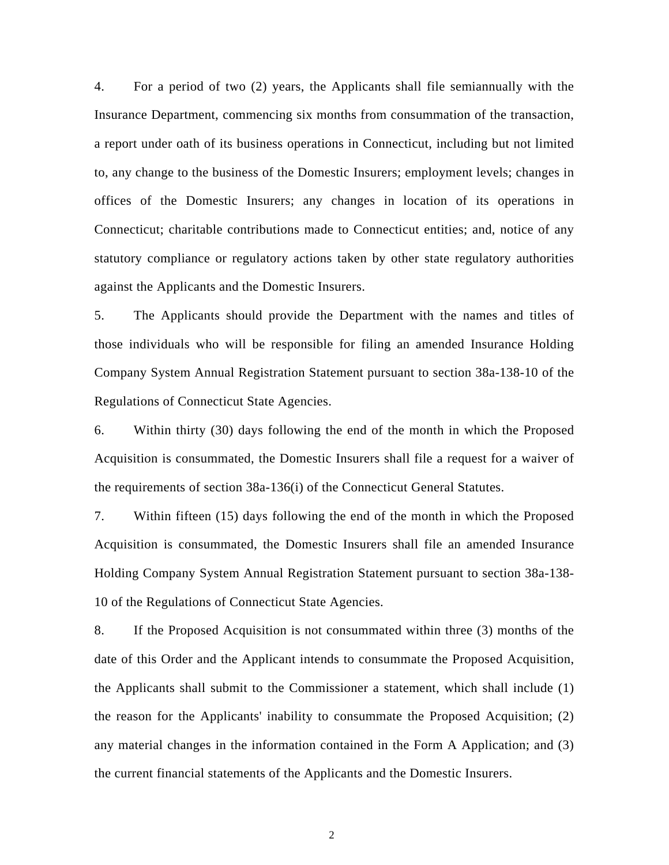4. For a period of two (2) years, the Applicants shall file semiannually with the Insurance Department, commencing six months from consummation of the transaction, a report under oath of its business operations in Connecticut, including but not limited to, any change to the business of the Domestic Insurers; employment levels; changes in offices of the Domestic Insurers; any changes in location of its operations in Connecticut; charitable contributions made to Connecticut entities; and, notice of any statutory compliance or regulatory actions taken by other state regulatory authorities against the Applicants and the Domestic Insurers.

5. The Applicants should provide the Department with the names and titles of those individuals who will be responsible for filing an amended Insurance Holding Company System Annual Registration Statement pursuant to section 38a-138-10 of the Regulations of Connecticut State Agencies.

6. Within thirty (30) days following the end of the month in which the Proposed Acquisition is consummated, the Domestic Insurers shall file a request for a waiver of the requirements of section 38a-136(i) of the Connecticut General Statutes.

7. Within fifteen (15) days following the end of the month in which the Proposed Acquisition is consummated, the Domestic Insurers shall file an amended Insurance Holding Company System Annual Registration Statement pursuant to section 38a-138- 10 of the Regulations of Connecticut State Agencies.

8. If the Proposed Acquisition is not consummated within three (3) months of the date of this Order and the Applicant intends to consummate the Proposed Acquisition, the Applicants shall submit to the Commissioner a statement, which shall include (1) the reason for the Applicants' inability to consummate the Proposed Acquisition; (2) any material changes in the information contained in the Form A Application; and (3) the current financial statements of the Applicants and the Domestic Insurers.

2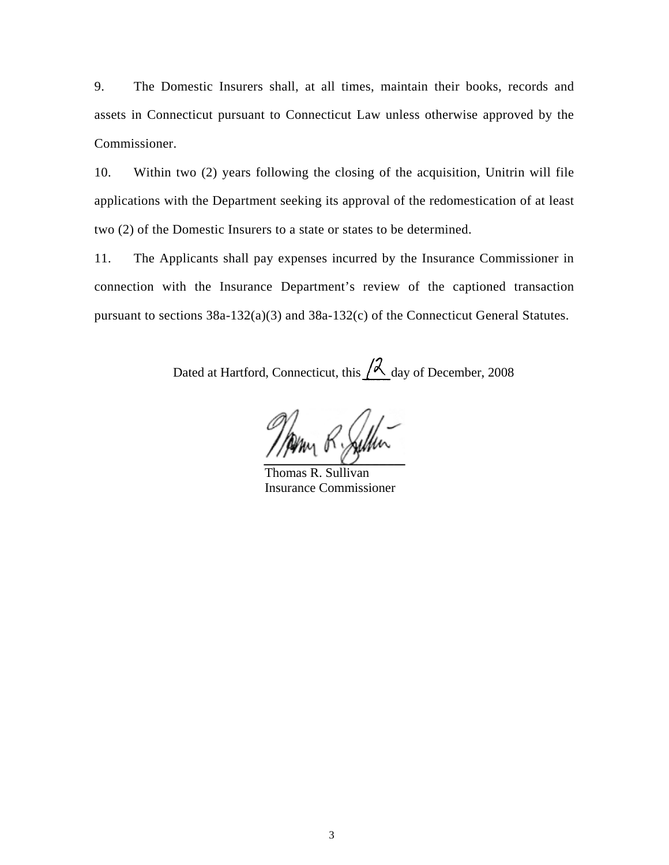9. The Domestic Insurers shall, at all times, maintain their books, records and assets in Connecticut pursuant to Connecticut Law unless otherwise approved by the Commissioner.

10. Within two (2) years following the closing of the acquisition, Unitrin will file applications with the Department seeking its approval of the redomestication of at least two (2) of the Domestic Insurers to a state or states to be determined.

11. The Applicants shall pay expenses incurred by the Insurance Commissioner in connection with the Insurance Department's review of the captioned transaction pursuant to sections 38a-132(a)(3) and 38a-132(c) of the Connecticut General Statutes.

Dated at Hartford, Connecticut, this  $\beta$  day of December, 2008

 Thomas R. Sullivan Insurance Commissioner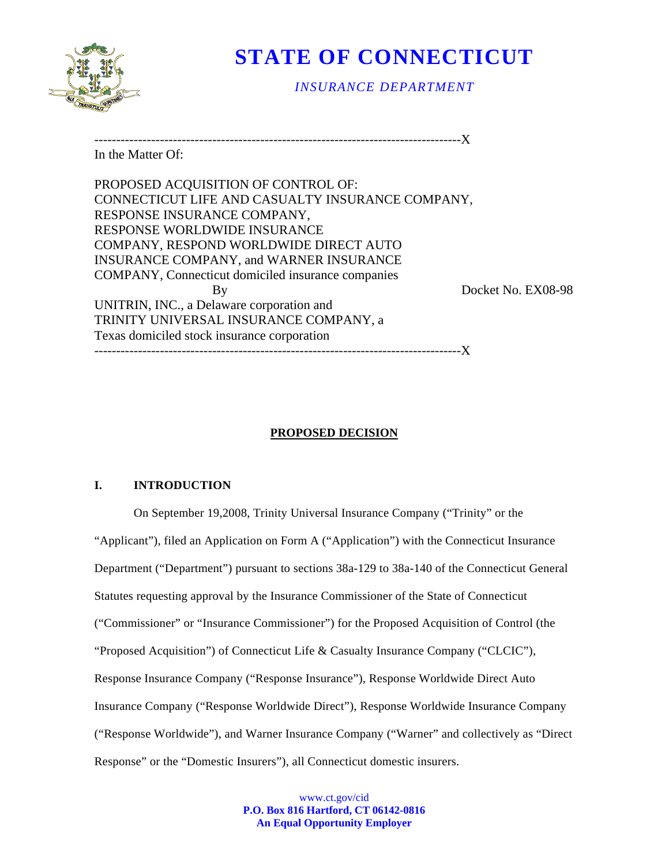

# **STATE OF CONNECTICUT**

*INSURANCE DEPARTMENT* 

------------------------------------------------------------------------------------X

In the Matter Of:

PROPOSED ACQUISITION OF CONTROL OF: CONNECTICUT LIFE AND CASUALTY INSURANCE COMPANY, RESPONSE INSURANCE COMPANY, RESPONSE WORLDWIDE INSURANCE COMPANY, RESPOND WORLDWIDE DIRECT AUTO INSURANCE COMPANY, and WARNER INSURANCE COMPANY, Connecticut domiciled insurance companies By Docket No. EX08-98 UNITRIN, INC., a Delaware corporation and TRINITY UNIVERSAL INSURANCE COMPANY, a Texas domiciled stock insurance corporation ------------------------------------------------------------------------------------X

# **PROPOSED DECISION**

### **I. INTRODUCTION**

On September 19,2008, Trinity Universal Insurance Company ("Trinity" or the "Applicant"), filed an Application on Form A ("Application") with the Connecticut Insurance Department ("Department") pursuant to sections 38a-129 to 38a-140 of the Connecticut General Statutes requesting approval by the Insurance Commissioner of the State of Connecticut ("Commissioner" or "Insurance Commissioner") for the Proposed Acquisition of Control (the "Proposed Acquisition") of Connecticut Life & Casualty Insurance Company ("CLCIC"), Response Insurance Company ("Response Insurance"), Response Worldwide Direct Auto Insurance Company ("Response Worldwide Direct"), Response Worldwide Insurance Company ("Response Worldwide"), and Warner Insurance Company ("Warner" and collectively as "Direct Response" or the "Domestic Insurers"), all Connecticut domestic insurers.

> www.ct.gov/cid **P.O. Box 816 Hartford, CT 06142-0816 An Equal Opportunity Employer**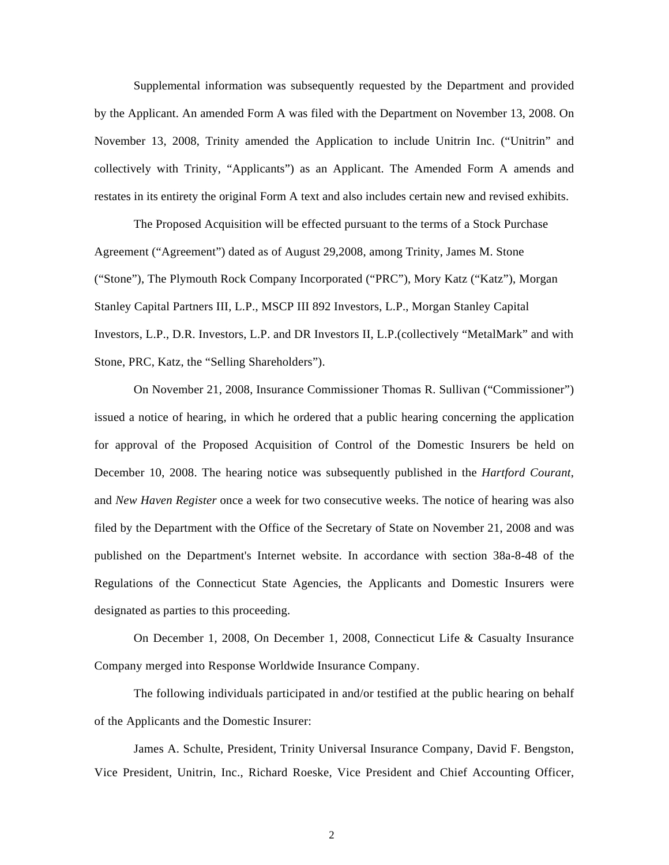Supplemental information was subsequently requested by the Department and provided by the Applicant. An amended Form A was filed with the Department on November 13, 2008. On November 13, 2008, Trinity amended the Application to include Unitrin Inc. ("Unitrin" and collectively with Trinity, "Applicants") as an Applicant. The Amended Form A amends and restates in its entirety the original Form A text and also includes certain new and revised exhibits.

The Proposed Acquisition will be effected pursuant to the terms of a Stock Purchase Agreement ("Agreement") dated as of August 29,2008, among Trinity, James M. Stone ("Stone"), The Plymouth Rock Company Incorporated ("PRC"), Mory Katz ("Katz"), Morgan Stanley Capital Partners III, L.P., MSCP III 892 Investors, L.P., Morgan Stanley Capital Investors, L.P., D.R. Investors, L.P. and DR Investors II, L.P.(collectively "MetalMark" and with Stone, PRC, Katz, the "Selling Shareholders").

On November 21, 2008, Insurance Commissioner Thomas R. Sullivan ("Commissioner") issued a notice of hearing, in which he ordered that a public hearing concerning the application for approval of the Proposed Acquisition of Control of the Domestic Insurers be held on December 10, 2008. The hearing notice was subsequently published in the *Hartford Courant*, and *New Haven Register* once a week for two consecutive weeks. The notice of hearing was also filed by the Department with the Office of the Secretary of State on November 21, 2008 and was published on the Department's Internet website. In accordance with section 38a-8-48 of the Regulations of the Connecticut State Agencies, the Applicants and Domestic Insurers were designated as parties to this proceeding.

On December 1, 2008, On December 1, 2008, Connecticut Life & Casualty Insurance Company merged into Response Worldwide Insurance Company.

The following individuals participated in and/or testified at the public hearing on behalf of the Applicants and the Domestic Insurer:

James A. Schulte, President, Trinity Universal Insurance Company, David F. Bengston, Vice President, Unitrin, Inc., Richard Roeske, Vice President and Chief Accounting Officer,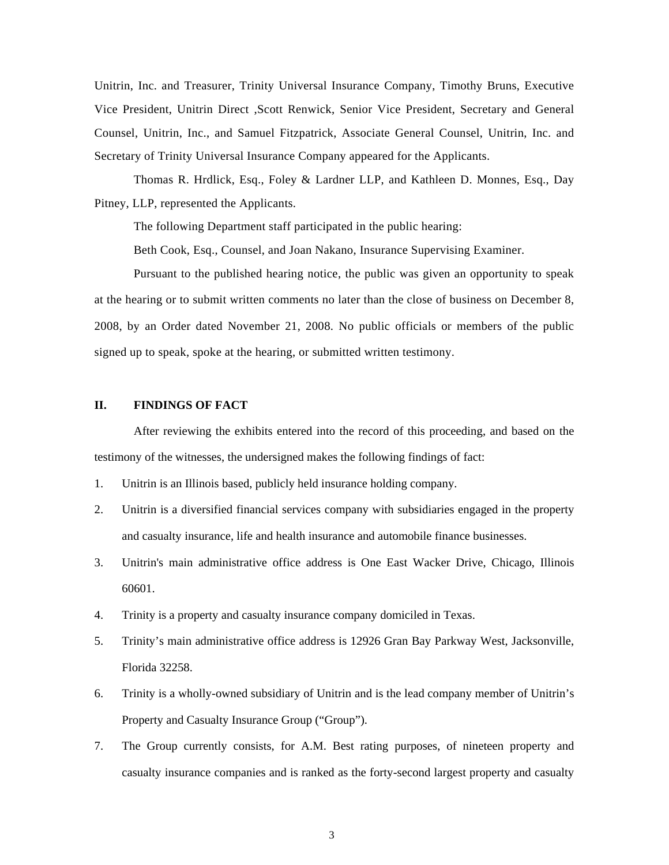Unitrin, Inc. and Treasurer, Trinity Universal Insurance Company, Timothy Bruns, Executive Vice President, Unitrin Direct ,Scott Renwick, Senior Vice President, Secretary and General Counsel, Unitrin, Inc., and Samuel Fitzpatrick, Associate General Counsel, Unitrin, Inc. and Secretary of Trinity Universal Insurance Company appeared for the Applicants.

Thomas R. Hrdlick, Esq., Foley & Lardner LLP, and Kathleen D. Monnes, Esq., Day Pitney, LLP, represented the Applicants.

The following Department staff participated in the public hearing:

Beth Cook, Esq., Counsel, and Joan Nakano, Insurance Supervising Examiner.

Pursuant to the published hearing notice, the public was given an opportunity to speak at the hearing or to submit written comments no later than the close of business on December 8, 2008, by an Order dated November 21, 2008. No public officials or members of the public signed up to speak, spoke at the hearing, or submitted written testimony.

#### **II. FINDINGS OF FACT**

After reviewing the exhibits entered into the record of this proceeding, and based on the testimony of the witnesses, the undersigned makes the following findings of fact:

- 1. Unitrin is an Illinois based, publicly held insurance holding company.
- 2. Unitrin is a diversified financial services company with subsidiaries engaged in the property and casualty insurance, life and health insurance and automobile finance businesses.
- 3. Unitrin's main administrative office address is One East Wacker Drive, Chicago, Illinois 60601.
- 4. Trinity is a property and casualty insurance company domiciled in Texas.
- 5. Trinity's main administrative office address is 12926 Gran Bay Parkway West, Jacksonville, Florida 32258.
- 6. Trinity is a wholly-owned subsidiary of Unitrin and is the lead company member of Unitrin's Property and Casualty Insurance Group ("Group").
- 7. The Group currently consists, for A.M. Best rating purposes, of nineteen property and casualty insurance companies and is ranked as the forty-second largest property and casualty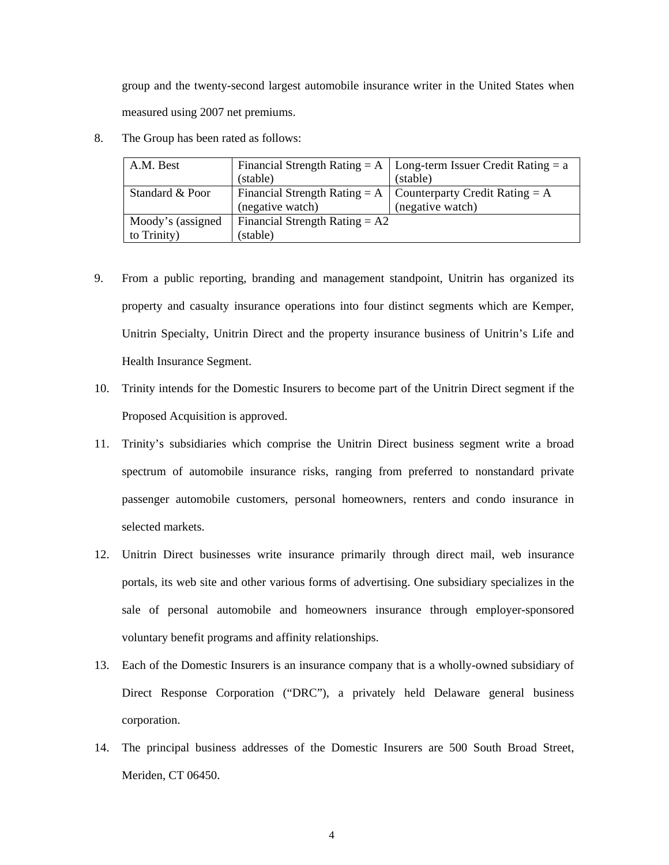group and the twenty-second largest automobile insurance writer in the United States when measured using 2007 net premiums.

8. The Group has been rated as follows:

| A.M. Best         | (stable)                         | Financial Strength Rating = A   Long-term Issuer Credit Rating = a<br>(stable) |  |
|-------------------|----------------------------------|--------------------------------------------------------------------------------|--|
| Standard & Poor   |                                  | Financial Strength Rating = $A \mid$ Counterparty Credit Rating = $A$          |  |
|                   | (negative watch)                 | (negative watch)                                                               |  |
| Moody's (assigned | Financial Strength Rating $= A2$ |                                                                                |  |
| to Trinity)       | (stable)                         |                                                                                |  |

- 9. From a public reporting, branding and management standpoint, Unitrin has organized its property and casualty insurance operations into four distinct segments which are Kemper, Unitrin Specialty, Unitrin Direct and the property insurance business of Unitrin's Life and Health Insurance Segment.
- 10. Trinity intends for the Domestic Insurers to become part of the Unitrin Direct segment if the Proposed Acquisition is approved.
- 11. Trinity's subsidiaries which comprise the Unitrin Direct business segment write a broad spectrum of automobile insurance risks, ranging from preferred to nonstandard private passenger automobile customers, personal homeowners, renters and condo insurance in selected markets.
- 12. Unitrin Direct businesses write insurance primarily through direct mail, web insurance portals, its web site and other various forms of advertising. One subsidiary specializes in the sale of personal automobile and homeowners insurance through employer-sponsored voluntary benefit programs and affinity relationships.
- 13. Each of the Domestic Insurers is an insurance company that is a wholly-owned subsidiary of Direct Response Corporation ("DRC"), a privately held Delaware general business corporation.
- 14. The principal business addresses of the Domestic Insurers are 500 South Broad Street, Meriden, CT 06450.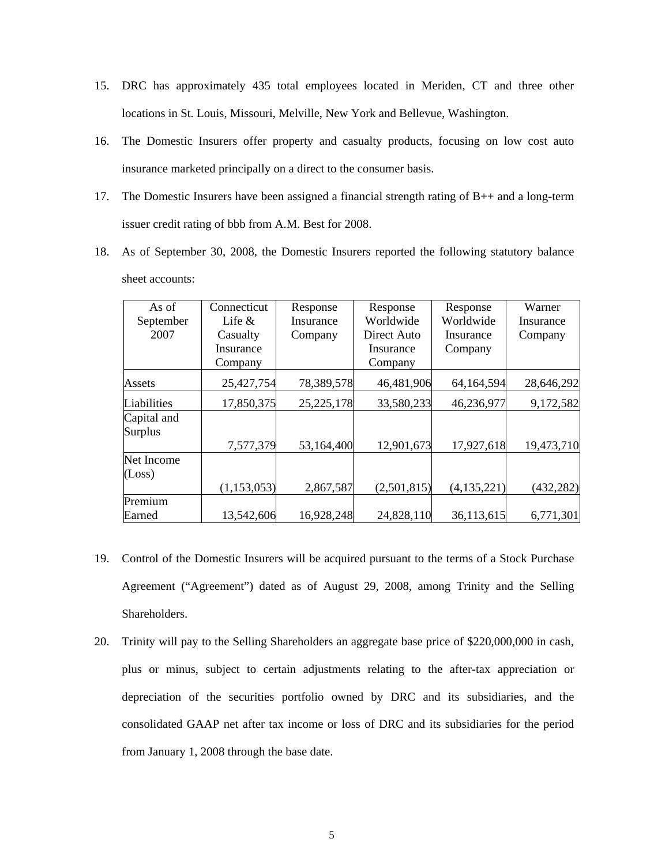- 15. DRC has approximately 435 total employees located in Meriden, CT and three other locations in St. Louis, Missouri, Melville, New York and Bellevue, Washington.
- 16. The Domestic Insurers offer property and casualty products, focusing on low cost auto insurance marketed principally on a direct to the consumer basis.
- 17. The Domestic Insurers have been assigned a financial strength rating of  $B_{++}$  and a long-term issuer credit rating of bbb from A.M. Best for 2008.
- 18. As of September 30, 2008, the Domestic Insurers reported the following statutory balance sheet accounts:

| As of       | Connecticut   | Response     | Response    | Response      | Warner     |
|-------------|---------------|--------------|-------------|---------------|------------|
| September   | Life $\&$     | Insurance    | Worldwide   | Worldwide     | Insurance  |
| 2007        | Casualty      | Company      | Direct Auto | Insurance     | Company    |
|             | Insurance     |              | Insurance   | Company       |            |
|             | Company       |              | Company     |               |            |
| Assets      | 25,427,754    | 78,389,578   | 46,481,906  | 64,164,594    | 28,646,292 |
| Liabilities | 17,850,375    | 25, 225, 178 | 33,580,233  | 46,236,977    | 9,172,582  |
| Capital and |               |              |             |               |            |
| Surplus     |               |              |             |               |            |
|             | 7,577,379     | 53,164,400   | 12,901,673  | 17,927,618    | 19,473,710 |
| Net Income  |               |              |             |               |            |
| (Loss)      |               |              |             |               |            |
|             | (1, 153, 053) | 2,867,587    | (2,501,815) | (4, 135, 221) | (432, 282) |
| Premium     |               |              |             |               |            |
| Earned      | 13,542,606    | 16,928,248   | 24,828,110  | 36,113,615    | 6,771,301  |

- 19. Control of the Domestic Insurers will be acquired pursuant to the terms of a Stock Purchase Agreement ("Agreement") dated as of August 29, 2008, among Trinity and the Selling Shareholders.
- 20. Trinity will pay to the Selling Shareholders an aggregate base price of \$220,000,000 in cash, plus or minus, subject to certain adjustments relating to the after-tax appreciation or depreciation of the securities portfolio owned by DRC and its subsidiaries, and the consolidated GAAP net after tax income or loss of DRC and its subsidiaries for the period from January 1, 2008 through the base date.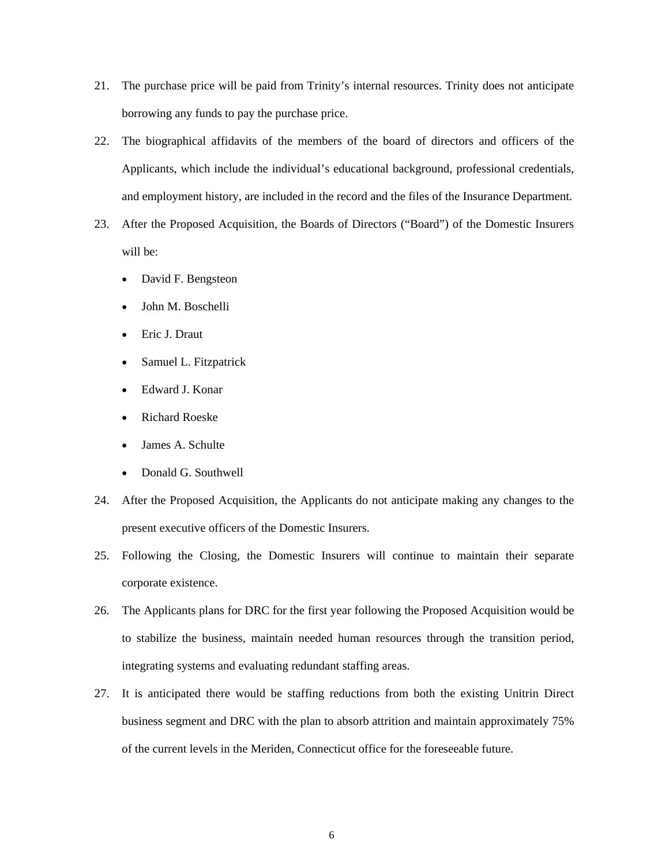- 21. The purchase price will be paid from Trinity's internal resources. Trinity does not anticipate borrowing any funds to pay the purchase price.
- 22. The biographical affidavits of the members of the board of directors and officers of the Applicants, which include the individual's educational background, professional credentials, and employment history, are included in the record and the files of the Insurance Department.
- 23. After the Proposed Acquisition, the Boards of Directors ("Board") of the Domestic Insurers will be:
	- David F. Bengsteon
	- John M. Boschelli
	- Eric J. Draut
	- Samuel L. Fitzpatrick
	- Edward J. Konar
	- Richard Roeske
	- James A. Schulte
	- Donald G. Southwell
- 24. After the Proposed Acquisition, the Applicants do not anticipate making any changes to the present executive officers of the Domestic Insurers.
- 25. Following the Closing, the Domestic Insurers will continue to maintain their separate corporate existence.
- 26. The Applicants plans for DRC for the first year following the Proposed Acquisition would be to stabilize the business, maintain needed human resources through the transition period, integrating systems and evaluating redundant staffing areas.
- 27. It is anticipated there would be staffing reductions from both the existing Unitrin Direct business segment and DRC with the plan to absorb attrition and maintain approximately 75% of the current levels in the Meriden, Connecticut office for the foreseeable future.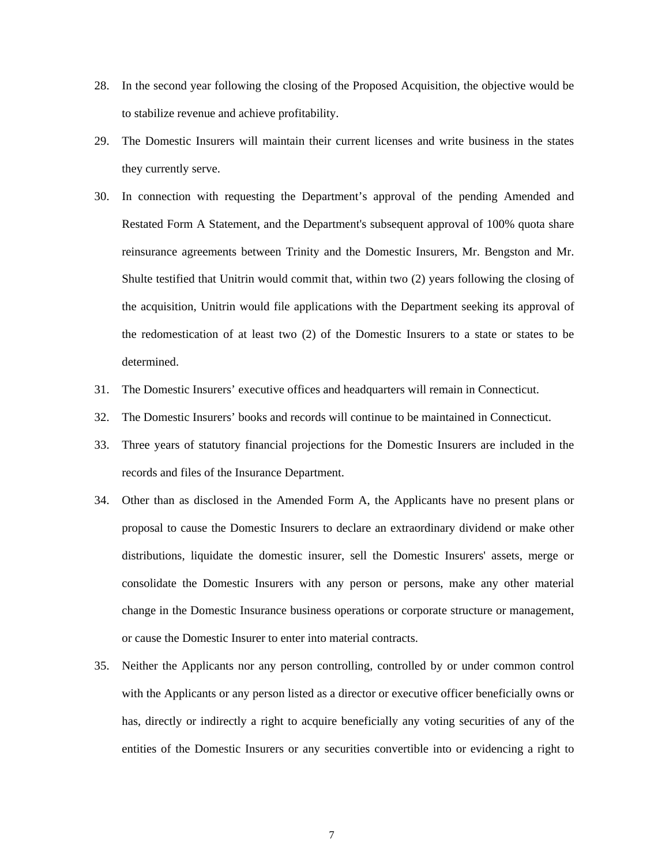- 28. In the second year following the closing of the Proposed Acquisition, the objective would be to stabilize revenue and achieve profitability.
- 29. The Domestic Insurers will maintain their current licenses and write business in the states they currently serve.
- 30. In connection with requesting the Department's approval of the pending Amended and Restated Form A Statement, and the Department's subsequent approval of 100% quota share reinsurance agreements between Trinity and the Domestic Insurers, Mr. Bengston and Mr. Shulte testified that Unitrin would commit that, within two (2) years following the closing of the acquisition, Unitrin would file applications with the Department seeking its approval of the redomestication of at least two (2) of the Domestic Insurers to a state or states to be determined.
- 31. The Domestic Insurers' executive offices and headquarters will remain in Connecticut.
- 32. The Domestic Insurers' books and records will continue to be maintained in Connecticut.
- 33. Three years of statutory financial projections for the Domestic Insurers are included in the records and files of the Insurance Department.
- 34. Other than as disclosed in the Amended Form A, the Applicants have no present plans or proposal to cause the Domestic Insurers to declare an extraordinary dividend or make other distributions, liquidate the domestic insurer, sell the Domestic Insurers' assets, merge or consolidate the Domestic Insurers with any person or persons, make any other material change in the Domestic Insurance business operations or corporate structure or management, or cause the Domestic Insurer to enter into material contracts.
- 35. Neither the Applicants nor any person controlling, controlled by or under common control with the Applicants or any person listed as a director or executive officer beneficially owns or has, directly or indirectly a right to acquire beneficially any voting securities of any of the entities of the Domestic Insurers or any securities convertible into or evidencing a right to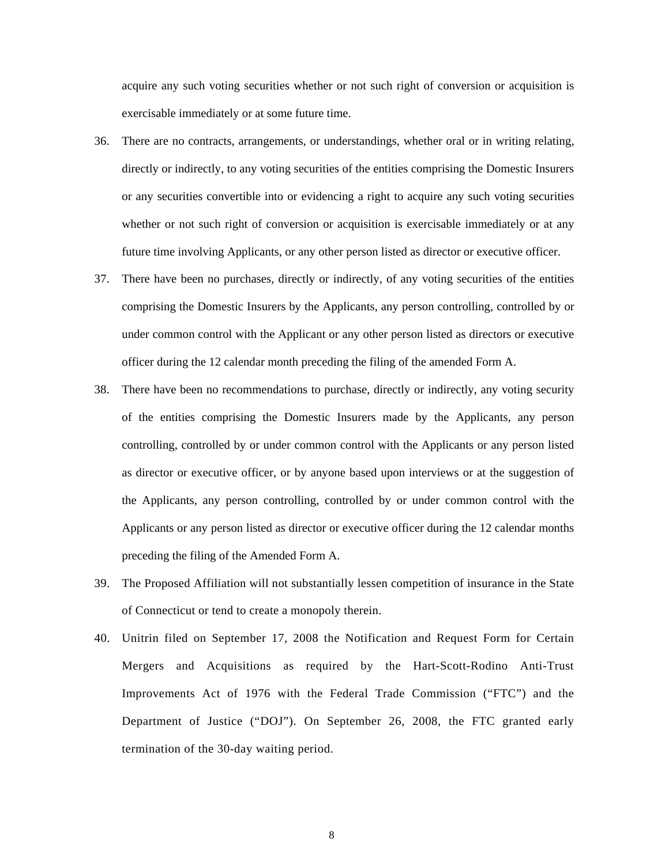acquire any such voting securities whether or not such right of conversion or acquisition is exercisable immediately or at some future time.

- 36. There are no contracts, arrangements, or understandings, whether oral or in writing relating, directly or indirectly, to any voting securities of the entities comprising the Domestic Insurers or any securities convertible into or evidencing a right to acquire any such voting securities whether or not such right of conversion or acquisition is exercisable immediately or at any future time involving Applicants, or any other person listed as director or executive officer.
- 37. There have been no purchases, directly or indirectly, of any voting securities of the entities comprising the Domestic Insurers by the Applicants, any person controlling, controlled by or under common control with the Applicant or any other person listed as directors or executive officer during the 12 calendar month preceding the filing of the amended Form A.
- 38. There have been no recommendations to purchase, directly or indirectly, any voting security of the entities comprising the Domestic Insurers made by the Applicants, any person controlling, controlled by or under common control with the Applicants or any person listed as director or executive officer, or by anyone based upon interviews or at the suggestion of the Applicants, any person controlling, controlled by or under common control with the Applicants or any person listed as director or executive officer during the 12 calendar months preceding the filing of the Amended Form A.
- 39. The Proposed Affiliation will not substantially lessen competition of insurance in the State of Connecticut or tend to create a monopoly therein.
- 40. Unitrin filed on September 17, 2008 the Notification and Request Form for Certain Mergers and Acquisitions as required by the Hart-Scott-Rodino Anti-Trust Improvements Act of 1976 with the Federal Trade Commission ("FTC") and the Department of Justice ("DOJ"). On September 26, 2008, the FTC granted early termination of the 30-day waiting period.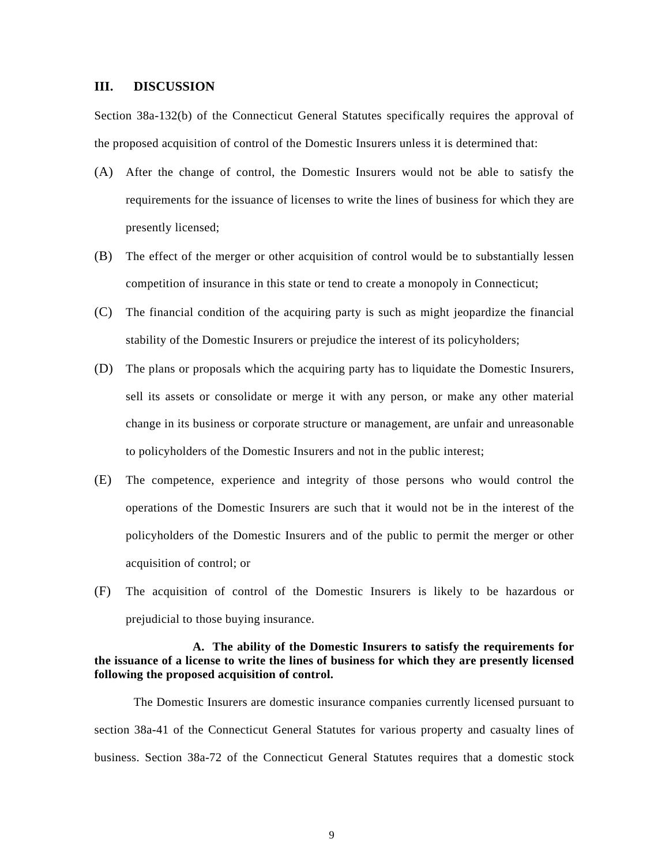#### **III. DISCUSSION**

Section 38a-132(b) of the Connecticut General Statutes specifically requires the approval of the proposed acquisition of control of the Domestic Insurers unless it is determined that:

- (A) After the change of control, the Domestic Insurers would not be able to satisfy the requirements for the issuance of licenses to write the lines of business for which they are presently licensed;
- (B) The effect of the merger or other acquisition of control would be to substantially lessen competition of insurance in this state or tend to create a monopoly in Connecticut;
- (C) The financial condition of the acquiring party is such as might jeopardize the financial stability of the Domestic Insurers or prejudice the interest of its policyholders;
- (D) The plans or proposals which the acquiring party has to liquidate the Domestic Insurers, sell its assets or consolidate or merge it with any person, or make any other material change in its business or corporate structure or management, are unfair and unreasonable to policyholders of the Domestic Insurers and not in the public interest;
- (E) The competence, experience and integrity of those persons who would control the operations of the Domestic Insurers are such that it would not be in the interest of the policyholders of the Domestic Insurers and of the public to permit the merger or other acquisition of control; or
- (F) The acquisition of control of the Domestic Insurers is likely to be hazardous or prejudicial to those buying insurance.

#### **A. The ability of the Domestic Insurers to satisfy the requirements for the issuance of a license to write the lines of business for which they are presently licensed following the proposed acquisition of control.**

The Domestic Insurers are domestic insurance companies currently licensed pursuant to section 38a-41 of the Connecticut General Statutes for various property and casualty lines of business. Section 38a-72 of the Connecticut General Statutes requires that a domestic stock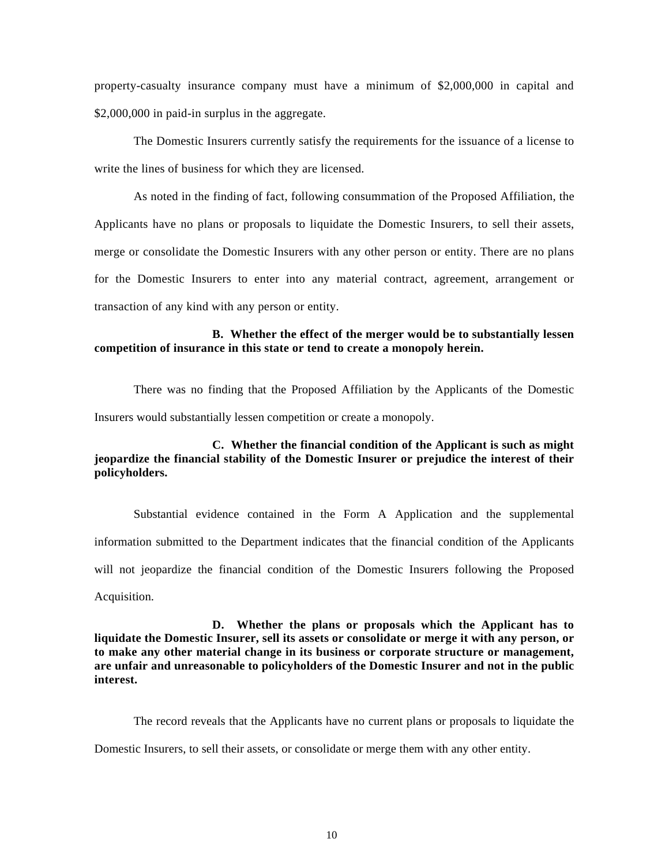property-casualty insurance company must have a minimum of \$2,000,000 in capital and \$2,000,000 in paid-in surplus in the aggregate.

The Domestic Insurers currently satisfy the requirements for the issuance of a license to write the lines of business for which they are licensed.

As noted in the finding of fact, following consummation of the Proposed Affiliation, the Applicants have no plans or proposals to liquidate the Domestic Insurers, to sell their assets, merge or consolidate the Domestic Insurers with any other person or entity. There are no plans for the Domestic Insurers to enter into any material contract, agreement, arrangement or transaction of any kind with any person or entity.

#### **B. Whether the effect of the merger would be to substantially lessen competition of insurance in this state or tend to create a monopoly herein.**

There was no finding that the Proposed Affiliation by the Applicants of the Domestic Insurers would substantially lessen competition or create a monopoly.

### **C. Whether the financial condition of the Applicant is such as might jeopardize the financial stability of the Domestic Insurer or prejudice the interest of their policyholders.**

Substantial evidence contained in the Form A Application and the supplemental information submitted to the Department indicates that the financial condition of the Applicants will not jeopardize the financial condition of the Domestic Insurers following the Proposed Acquisition.

**D. Whether the plans or proposals which the Applicant has to liquidate the Domestic Insurer, sell its assets or consolidate or merge it with any person, or to make any other material change in its business or corporate structure or management, are unfair and unreasonable to policyholders of the Domestic Insurer and not in the public interest.** 

The record reveals that the Applicants have no current plans or proposals to liquidate the Domestic Insurers, to sell their assets, or consolidate or merge them with any other entity.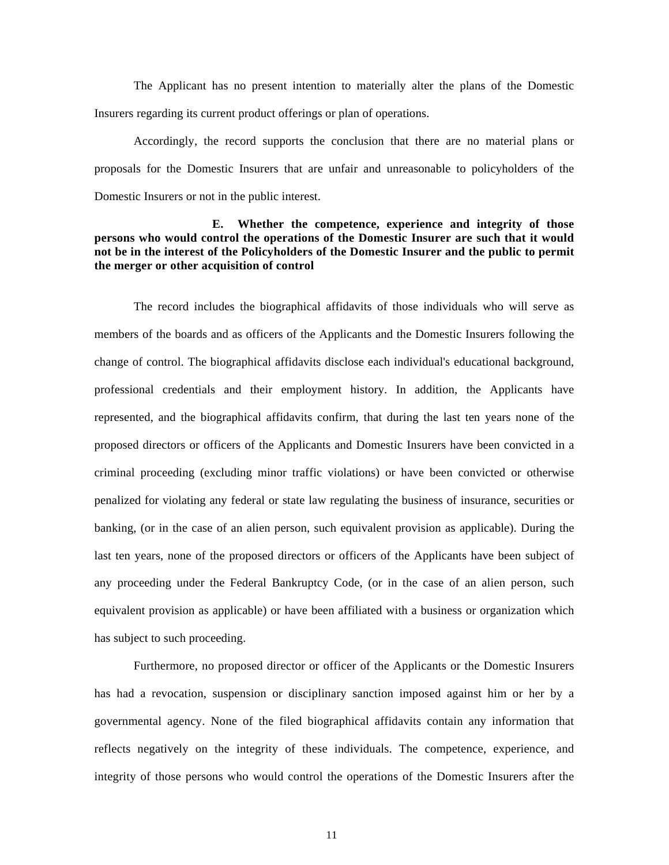The Applicant has no present intention to materially alter the plans of the Domestic Insurers regarding its current product offerings or plan of operations.

Accordingly, the record supports the conclusion that there are no material plans or proposals for the Domestic Insurers that are unfair and unreasonable to policyholders of the Domestic Insurers or not in the public interest.

#### **E. Whether the competence, experience and integrity of those persons who would control the operations of the Domestic Insurer are such that it would not be in the interest of the Policyholders of the Domestic Insurer and the public to permit the merger or other acquisition of control**

The record includes the biographical affidavits of those individuals who will serve as members of the boards and as officers of the Applicants and the Domestic Insurers following the change of control. The biographical affidavits disclose each individual's educational background, professional credentials and their employment history. In addition, the Applicants have represented, and the biographical affidavits confirm, that during the last ten years none of the proposed directors or officers of the Applicants and Domestic Insurers have been convicted in a criminal proceeding (excluding minor traffic violations) or have been convicted or otherwise penalized for violating any federal or state law regulating the business of insurance, securities or banking, (or in the case of an alien person, such equivalent provision as applicable). During the last ten years, none of the proposed directors or officers of the Applicants have been subject of any proceeding under the Federal Bankruptcy Code, (or in the case of an alien person, such equivalent provision as applicable) or have been affiliated with a business or organization which has subject to such proceeding.

Furthermore, no proposed director or officer of the Applicants or the Domestic Insurers has had a revocation, suspension or disciplinary sanction imposed against him or her by a governmental agency. None of the filed biographical affidavits contain any information that reflects negatively on the integrity of these individuals. The competence, experience, and integrity of those persons who would control the operations of the Domestic Insurers after the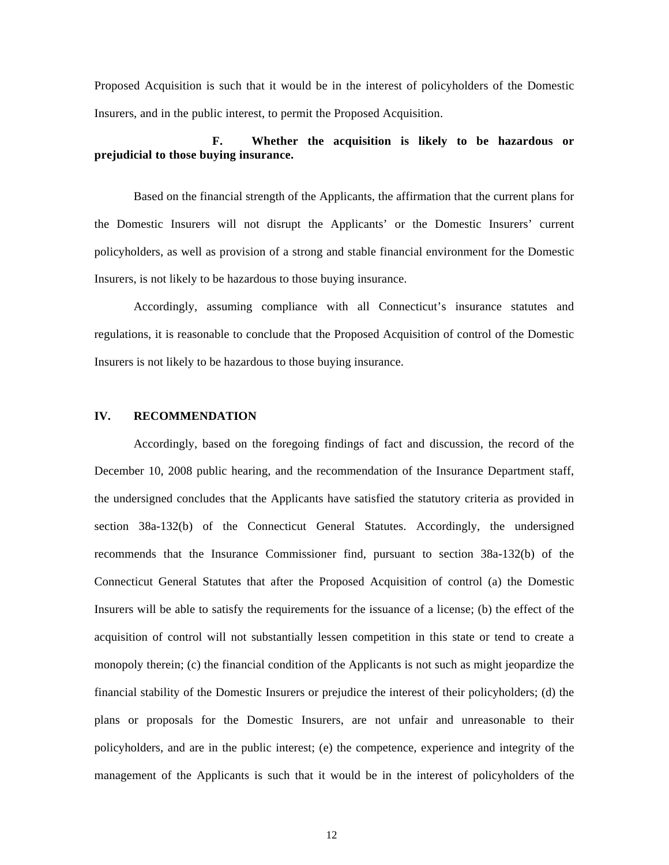Proposed Acquisition is such that it would be in the interest of policyholders of the Domestic Insurers, and in the public interest, to permit the Proposed Acquisition.

## **F. Whether the acquisition is likely to be hazardous or prejudicial to those buying insurance.**

Based on the financial strength of the Applicants, the affirmation that the current plans for the Domestic Insurers will not disrupt the Applicants' or the Domestic Insurers' current policyholders, as well as provision of a strong and stable financial environment for the Domestic Insurers, is not likely to be hazardous to those buying insurance.

Accordingly, assuming compliance with all Connecticut's insurance statutes and regulations, it is reasonable to conclude that the Proposed Acquisition of control of the Domestic Insurers is not likely to be hazardous to those buying insurance.

#### **IV. RECOMMENDATION**

Accordingly, based on the foregoing findings of fact and discussion, the record of the December 10, 2008 public hearing, and the recommendation of the Insurance Department staff, the undersigned concludes that the Applicants have satisfied the statutory criteria as provided in section 38a-132(b) of the Connecticut General Statutes. Accordingly, the undersigned recommends that the Insurance Commissioner find, pursuant to section 38a-132(b) of the Connecticut General Statutes that after the Proposed Acquisition of control (a) the Domestic Insurers will be able to satisfy the requirements for the issuance of a license; (b) the effect of the acquisition of control will not substantially lessen competition in this state or tend to create a monopoly therein; (c) the financial condition of the Applicants is not such as might jeopardize the financial stability of the Domestic Insurers or prejudice the interest of their policyholders; (d) the plans or proposals for the Domestic Insurers, are not unfair and unreasonable to their policyholders, and are in the public interest; (e) the competence, experience and integrity of the management of the Applicants is such that it would be in the interest of policyholders of the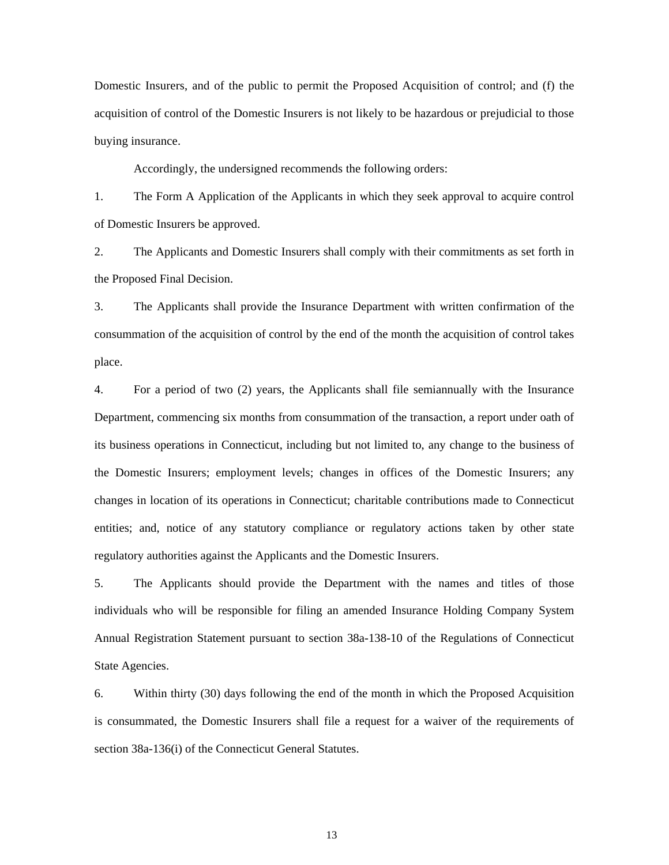Domestic Insurers, and of the public to permit the Proposed Acquisition of control; and (f) the acquisition of control of the Domestic Insurers is not likely to be hazardous or prejudicial to those buying insurance.

Accordingly, the undersigned recommends the following orders:

1. The Form A Application of the Applicants in which they seek approval to acquire control of Domestic Insurers be approved.

2. The Applicants and Domestic Insurers shall comply with their commitments as set forth in the Proposed Final Decision.

3. The Applicants shall provide the Insurance Department with written confirmation of the consummation of the acquisition of control by the end of the month the acquisition of control takes place.

4. For a period of two (2) years, the Applicants shall file semiannually with the Insurance Department, commencing six months from consummation of the transaction, a report under oath of its business operations in Connecticut, including but not limited to, any change to the business of the Domestic Insurers; employment levels; changes in offices of the Domestic Insurers; any changes in location of its operations in Connecticut; charitable contributions made to Connecticut entities; and, notice of any statutory compliance or regulatory actions taken by other state regulatory authorities against the Applicants and the Domestic Insurers.

5. The Applicants should provide the Department with the names and titles of those individuals who will be responsible for filing an amended Insurance Holding Company System Annual Registration Statement pursuant to section 38a-138-10 of the Regulations of Connecticut State Agencies.

6. Within thirty (30) days following the end of the month in which the Proposed Acquisition is consummated, the Domestic Insurers shall file a request for a waiver of the requirements of section 38a-136(i) of the Connecticut General Statutes.

13